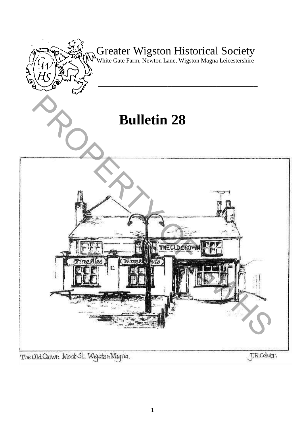

The Old Crown Moot St. Wejston Magna.

J.R.Colver.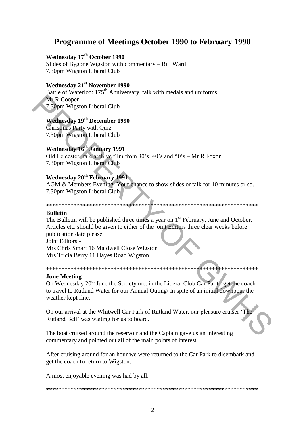# **Programme of Meetings October 1990 to February 1990**

## **Wednesday 17th October 1990**

Slides of Bygone Wigston with commentary – Bill Ward 7.30pm Wigston Liberal Club

## **Wednesday 21st November 1990**

Battle of Waterloo: 175<sup>th</sup> Anniversary, talk with medals and uniforms Mr R Cooper 7.30pm Wigston Liberal Club

## **Wednesday 19th December 1990**

Christmas Party with Quiz 7.30pm Wigston Liberal Club

## **Wednesday 16th January 1991**

Old Leicester: rare archive film from 30"s, 40"s and 50"s – Mr R Foxon 7.30pm Wigston Liberal Club

# **Wednesday 20th February 1991**

AGM & Members Evening. Your chance to show slides or talk for 10 minutes or so. 7.30pm Wigston Liberal Club

#### \*\*\*\*\*\*\*\*\*\*\*\*\*\*\*\*\*\*\*\*\*\*\*\*\*\*\*\*\*\*\*\*\*\*\*\*\*\*\*\*\*\*\*\*\*\*\*\*\*\*\*\*\*\*\*\*\*\*\*\*\*\*\*\*\*\*\*\*\*

#### **Bulletin**

The Bulletin will be published three times a year on 1<sup>st</sup> February, June and October. Articles etc. should be given to either of the joint Editors three clear weeks before publication date please. Ne, R Cooper<br>
7.3.0pm Wigston Liberal Club<br>
Wechnesday 19<sup>th</sup> December 1990<br>
Christmas Party with Quiz<br>
7.30pm Wigston Liberal Club<br>
Wechnesday 20<sup>th</sup> February 1991<br>
Old Leicester enteractive film from 30's, 40's and 50's

Joint Editors:- Mrs Chris Smart 16 Maidwell Close Wigston Mrs Tricia Berry 11 Hayes Road Wigston

#### \*\*\*\*\*\*\*\*\*\*\*\*\*\*\*\*\*\*\*\*\*\*\*\*\*\*\*\*\*\*\*\*\*\*\*\*\*\*\*\*\*\*\*\*\*\*\*\*\*\*\*\*\*\*\*\*\*\*\*\*\*\*\*\*\*\*\*\*\*

#### **June Meeting**

On Wednesday  $20<sup>th</sup>$  June the Society met in the Liberal Club Car Par to get the coach to travel to Rutland Water for our Annual Outing/ In spite of an initial downpour the weather kept fine.

On our arrival at the Whitwell Car Park of Rutland Water, our pleasure cruiser "The Rutland Bell" was waiting for us to board.

The boat cruised around the reservoir and the Captain gave us an interesting commentary and pointed out all of the main points of interest.

After cruising around for an hour we were returned to the Car Park to disembark and get the coach to return to Wigston.

A most enjoyable evening was had by all.

#### \*\*\*\*\*\*\*\*\*\*\*\*\*\*\*\*\*\*\*\*\*\*\*\*\*\*\*\*\*\*\*\*\*\*\*\*\*\*\*\*\*\*\*\*\*\*\*\*\*\*\*\*\*\*\*\*\*\*\*\*\*\*\*\*\*\*\*\*\*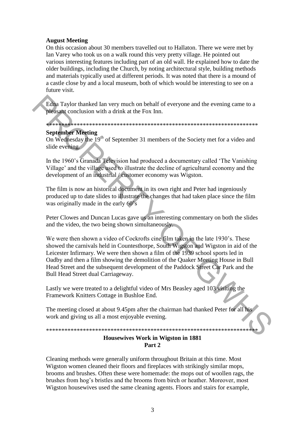### **August Meeting**

On this occasion about 30 members travelled out to Hallaton. There we were met by Ian Varey who took us on a walk round this very pretty village. He pointed out various interesting features including part of an old wall. He explained how to date the older buildings, including the Church, by noting architectural style, building methods and materials typically used at different periods. It was noted that there is a mound of a castle close by and a local museum, both of which would be interesting to see on a future visit.

Edna Taylor thanked Ian very much on behalf of everyone and the evening came to a pleasant conclusion with a drink at the Fox Inn.

\*\*\*\*\*\*\*\*\*\*\*\*\*\*\*\*\*\*\*\*\*\*\*\*\*\*\*\*\*\*\*\*\*\*\*\*\*\*\*\*\*\*\*\*\*\*\*\*\*\*\*\*\*\*\*\*\*\*\*\*\*\*\*\*\*\*\*\*\*

#### **September Meeting**

On Wednesday the 19th of September 31 members of the Society met for a video and slide evening.

In the 1960"s Granada Television had produced a documentary called "The Vanishing Village" and the village used to illustrate the decline of agricultural economy and the development of an industrial / customer economy was Wigston.

The film is now an historical document in its own right and Peter had ingeniously produced up to date slides to illustrate the changes that had taken place since the film was originally made in the early 60's

Peter Clowes and Duncan Lucas gave us an interesting commentary on both the slides and the video, the two being shown simultaneously.

We were then shown a video of Cockrofts cine film taken in the late 1930"s. These showed the carnivals held in Countesthorpe, South Wigston and Wigston in aid of the Leicester Infirmary. We were then shown a film of the 1939 school sports led in Oadby and then a film showing the demolition of the Quaker Meeting House in Bull Head Street and the subsequent development of the Paddock Street Car Park and the Bull Head Street dual Carriageway. Edna Taylor thanked Ian very much on behalf of everyone and the evening came to a<br>plessant conclusion with a drink at the Fox Inn.<br>Soptenby Meeting Constant a straight of the Society met for a video and<br>Superinty Meeting

Lastly we were treated to a delightful video of Mrs Beasley aged 103 visiting the Framework Knitters Cottage in Bushloe End.

The meeting closed at about 9.45pm after the chairman had thanked Peter for all his work and giving us all a most enjoyable evening.

## \*\*\*\*\*\*\*\*\*\*\*\*\*\*\*\*\*\*\*\*\*\*\*\*\*\*\*\*\*\*\*\*\*\*\*\*\*\*\*\*\*\*\*\*\*\*\*\*\*\*\*\*\*\*\*\*\*\*\*\*\*\*\*\*\*\*\*\*\*

#### **Housewives Work in Wigston in 1881 Part 2**

Cleaning methods were generally uniform throughout Britain at this time. Most Wigston women cleaned their floors and fireplaces with strikingly similar mops, brooms and brushes. Often these were homemade: the mops out of woollen rags, the brushes from hog"s bristles and the brooms from birch or heather. Moreover, most Wigston housewives used the same cleaning agents. Floors and stairs for example,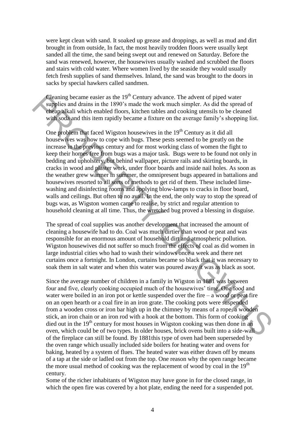were kept clean with sand. It soaked up grease and droppings, as well as mud and dirt brought in from outside, In fact, the most heavily trodden floors were usually kept sanded all the time, the sand being swept out and renewed on Saturday. Before the sand was renewed, however, the housewives usually washed and scrubbed the floors and stairs with cold water. Where women lived by the seaside they would usually fetch fresh supplies of sand themselves. Inland, the sand was brought to the doors in sacks by special hawkers called sandmen.

Cleaning became easier as the  $19<sup>th</sup>$  Century advance. The advent of piped water supplies and drains in the 1890's made the work much simpler. As did the spread of cheap alkali which enabled floors, kitchen tables and cooking utensils to be cleaned with soda and this item rapidly became a fixture on the average family's shopping list.

One problem that faced Wigston housewives in the  $19<sup>th</sup>$  Century as it did all housewives was how to cope with bugs. These pests seemed to be greatly on the increase in the previous century and for most working class of women the fight to keep their homes free from bugs was a major task. Bugs were to be found not only in bedding and upholstery, but behind wallpaper, picture rails and skirting boards, in cracks in wood and plaster work, under floor boards and inside nail holes. As soon as the weather grew warmer in summer, the omnipresent bugs appeared in battalions and housewives resorted to all sorts of methods to get rid of them. These included limewashing and disinfecting rooms and applying blow-lamps to cracks in floor board, walls and ceilings. But often to no avail. In the end, the only way to stop the spread of bugs was, as Wigston women came to realise, by strict and regular attention to household cleaning at all time. Thus, the wretched bug proved a blessing in disguise. Clearing because assist as the 19<sup>T</sup> Century advance. The advent of piped water<br>supplics and drains in the 1890's made the work much simpler. As did the spread of<br>orientalist inviriand in this tim mpidly became a fixture

The spread of coal supplies was another development that increased the amount of cleaning a housewife had to do. Coal was much dirtier than wood or peat and was responsible for an enormous amount of household dirt and atmospheric pollution. Wigston housewives did not suffer so much from the effects of coal as did women in large industrial cities who had to wash their windows once a week and there net curtains once a fortnight. In London, curtains became so black that it was necessary to soak them in salt water and when this water was poured away it was as black as soot.

Since the average number of children in a family in Wigston in 1881 was between four and five, clearly cooking occupied much of the housewives' time. One food and water were boiled in an iron pot or kettle suspended over the fire  $-$  a wood or peat fire on an open hearth or a coal fire in an iron grate. The cooking pots were suspended from a wooden cross or iron bar high up in the chimney by means of a rope, a wooden stick, an iron chain or an iron rod with a hook at the bottom. This form of cooking died out in the 19<sup>th</sup> century for most houses in Wigston cooking was then done in an oven, which could be of two types. In older houses, brick ovens built into a side-wall of the fireplace can still be found. By 1881this type of oven had been superseded by the oven range which usually included side boilers for heating water and ovens for baking, heated by a system of flues. The heated water was either drawn off by means of a tap at the side or ladled out from the top. One reason why the open range became the more usual method of cooking was the replacement of wood by coal in the  $19<sup>th</sup>$ century.

Some of the richer inhabitants of Wigston may have gone in for the closed range, in which the open fire was covered by a hot plate, ending the need for a suspended pot.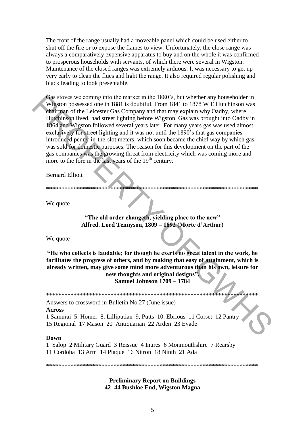The front of the range usually had a moveable panel which could be used either to shut off the fire or to expose the flames to view. Unfortunately, the close range was always a comparatively expensive apparatus to buy and on the whole it was confirmed to prosperous households with servants, of which there were several in Wigston. Maintenance of the closed ranges was extremely arduous. It was necessary to get up very early to clean the flues and light the range. It also required regular polishing and black leading to look presentable.

Gas stoves we coming into the market in the 1880"s, but whether any householder in Wigston possessed one in 1881 is doubtful. From 1841 to 1878 W E Hutchinson was chairman of the Leicester Gas Company and that may explain why Oadby, where Hutchinson lived, had street lighting before Wigston. Gas was brought into Oadby in 1864 and Wigston followed several years later. For many years gas was used almost exclusively for street lighting and it was not until the 1890"s that gas companies introduced penny-in-the-slot meters, which soon became the chief way by which gas was sold for domestic purposes. The reason for this development on the part of the gas companies was the growing threat from electricity which was coming more and more to the fore in the last years of the  $19<sup>th</sup>$  century. **Exact store control in the matter in the 1880**; but whether any bouseholder in the SEO scenarios of the Leicester Gas Company and that may explain why Oadby where<br>Hughlinson lived, had steet lighting before Wigston. Gas

Bernard Elliott

\*\*\*\*\*\*\*\*\*\*\*\*\*\*\*\*\*\*\*\*\*\*\*\*\*\*\*\*\*\*\*\*\*\*\*\*\*\*\*\*\*\*\*\*\*\*\*\*\*\*\*\*\*\*\*\*\*\*\*\*\*\*\*\*\*\*\*\*\*

We quote

**"The old order changeth, yielding place to the new" Alfred. Lord Tennyson, 1809 – 1892 (Morte d'Arthur)**

We quote

**"He who collects is laudable; for though he exerts no great talent in the work, he facilitates the progress of others, and by making that easy of attainment, which is already written, may give some mind more adventurous than his own, leisure for new thoughts and original designs". Samuel Johnson 1709 – 1784**

\*\*\*\*\*\*\*\*\*\*\*\*\*\*\*\*\*\*\*\*\*\*\*\*\*\*\*\*\*\*\*\*\*\*\*\*\*\*\*\*\*\*\*\*\*\*\*\*\*\*\*\*\*\*\*\*\*\*\*\*\*\*\*\*\*\*\*\*\*

Answers to crossword in Bulletin No.27 (June issue)

#### **Across**

1 Samurai 5. Homer 8. Lilliputian 9, Putts 10. Ebrious 11 Corset 12 Pantry 15 Regional 17 Mason 20 Antiquarian 22 Arden 23 Evade

#### **Down**

1 Salop 2 Military Guard 3 Reissue 4 Inures 6 Monmouthshire 7 Rearsby 11 Cordoba 13 Arm 14 Plaque 16 Nitron 18 Ninth 21 Ada

\*\*\*\*\*\*\*\*\*\*\*\*\*\*\*\*\*\*\*\*\*\*\*\*\*\*\*\*\*\*\*\*\*\*\*\*\*\*\*\*\*\*\*\*\*\*\*\*\*\*\*\*\*\*\*\*\*\*\*\*\*\*\*\*\*\*\*\*\*

**Preliminary Report on Buildings 42 -44 Bushloe End, Wigston Magna**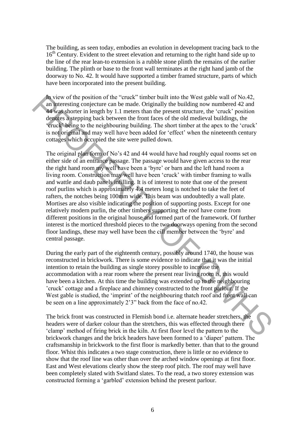The building, as seen today, embodies an evolution in development tracing back to the 16<sup>th</sup> Century. Evident to the street elevation and returning to the right hand side up to the line of the rear lean-to extension is a rubble stone plinth the remains of the earlier building. The plinth or base to the front wall terminates at the right hand jamb of the doorway to No. 42. It would have supported a timber framed structure, parts of which have been incorporated into the present building.

In view of the position of the "cruck" timber built into the West gable wall of No.42, an interesting conjecture can be made. Originally the building now numbered 42 and 44 was shorter in length by 1.1 meters than the present structure, the "cruck" position denotes a stepping back between the front faces of the old medieval buildings, the "cruck" being to the neighbouring building. The short timber at the apex to the "cruck" is not original and may well have been added for 'effect' when the nineteenth century cottages which occupied the site were pulled down.

The original plan form of No"s 42 and 44 would have had roughly equal rooms set on either side of an entrance passage. The passage would have given access to the rear the right hand room my well have been a "byre" or barn and the left hand room a living room. Construction may well have been "cruck" with timber framing to walls and wattle and daub panels infilling. It is of interest to note that one of the present roof purlins which is approximately 4.4 meters long is notched to take the feet of rafters, the notches being 100mm wide. This beam was undoubtedly a wall plate. Mortises are also visible indicating the position of supporting posts. Except for one relatively modern purlin, the other timbers supporting the roof have come from different positions in the original house and formed part of the framework. Of further interest is the morticed threshold pieces to the two doorways opening from the second floor landings, these may well have been the cill member between the "byre" and central passage. An view of the prostion of the "cruck" timber bullt into the West galibe wall of No42.<br>
and have signore that the means the present structure, the "cruck" positive depletes as stepping back between the form fraces of the

During the early part of the eighteenth century, possibly around 1740, the house was reconstructed in brickwork. There is some evidence to indicate that it was the initial intention to retain the building as single storey possible to increase the accommodation with a rear room where the present rear living room is, this would have been a kitchen. At this time the building was extended up to the neighbouring "cruck" cottage and a fireplace and chimney constructed to the front parlour. If the West gable is studied, the 'imprint' of the neighbouring thatch roof and front wall can be seen on a line approximately 2"3" back from the face of no.42.

The brick front was constructed in Flemish bond i.e. alternate header stretchers, the headers were of darker colour than the stretchers, this was effected through there "clamp" method of firing brick in the kiln. At first floor level the pattern to the brickwork changes and the brick headers have been formed to a "diaper" pattern. The craftsmanship in brickwork to the first floor is markedly better. than that to the ground floor. Whist this indicates a two stage construction, there is little or no evidence to show that the roof line was other than over the arched window openings at first floor. East and West elevations clearly show the steep roof pitch. The roof may well have been completely slated with Switland slates. To the read, a two storey extension was constructed forming a "garbled" extension behind the present parlour.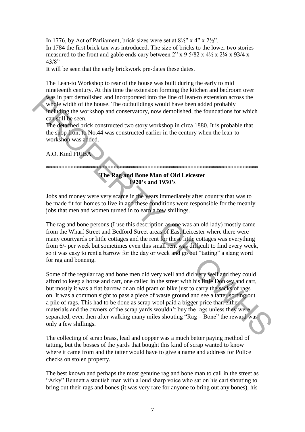In 1776, by Act of Parliament, brick sizes were set at  $8\frac{1}{2}$ " x  $4$ " x  $2\frac{1}{2}$ ". In 1784 the first brick tax was introduced. The size of bricks to the lower two stories measured to the front and gable ends cary between  $2$ " x 9 5/82 x 4 $\frac{1}{2}$  x 2 $\frac{1}{4}$  x 93/4 x 43/8"

It will be seen that the early brickwork pre-dates these dates.

The Lean-to Workshop to rear of the house was built during the early to mid nineteenth century. At this time the extension forming the kitchen and bedroom over was in part demolished and incorporated into the line of lean-to extension across the whole width of the house. The outbuildings would have been added probably

including the workshop and conservatory, now demolished, the foundations for which can still be seen.

The detached brick constructed two story workshop in circa 1880. It is probable that the shop front to No.44 was constructed earlier in the century when the lean-to workshop was added.

## A.O. Kind FRIBA

## \*\*\*\*\*\*\*\*\*\*\*\*\*\*\*\*\*\*\*\*\*\*\*\*\*\*\*\*\*\*\*\*\*\*\*\*\*\*\*\*\*\*\*\*\*\*\*\*\*\*\*\*\*\*\*\*\*\*\*\*\*\*\*\*\*\*\*\*\* **The Rag and Bone Man of Old Leicester**

## **1920's and 1930's**

Jobs and money were very scarce in the years immediately after country that was to be made fit for homes to live in and these conditions were responsible for the meanly jobs that men and women turned in to earn a few shillings.

The rag and bone persons (I use this description as one was an old lady) mostly came from the Wharf Street and Bedford Street areas of East Leicester where there were many courtyards or little cottages and the rent for these little cottages was everything from 6/- per week but sometimes even this small rent was difficult to find every week, so it was easy to rent a barrow for the day or week and go out "tatting" a slang word for rag and boneing.

Some of the regular rag and bone men did very well and did very well and they could afford to keep a horse and cart, one called in the street with his little Donkey and cart, but mostly it was a flat barrow or an old pram or bike just to carry the sacks of rags on. It was a common sight to pass a piece of waste ground and see a tatter sorting out a pile of rags. This had to be done as scrap wool paid a bigger price than either materials and the owners of the scrap yards wouldn"t buy the rags unless they were separated, even then after walking many miles shouting "Rag – Bone" the reward was only a few shillings. Was in part demolisied and incorporated into the line of lean-to extension across the<br>
while widdh of the house. The outbuildings would have been added probably<br>
mediating the workshop and conservatory, now demolished, th

The collecting of scrap brass, lead and copper was a much better paying method of tatting, but the bosses of the yards that bought this kind of scrap wanted to know where it came from and the tatter would have to give a name and address for Police checks on stolen property.

The best known and perhaps the most genuine rag and bone man to call in the street as "Arky" Bennett a stoutish man with a loud sharp voice who sat on his cart shouting to bring out their rags and bones (it was very rare for anyone to bring out any bones), his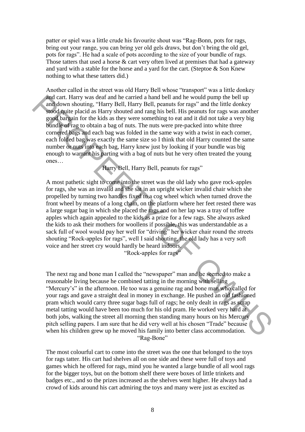patter or spiel was a little crude his favourite shout was "Rag-Bonn, pots for rags, bring out your range, you can bring yer old gels draws, but don"t bring the old gel, pots for rags". He had a scale of pots according to the size of your bundle of rags. Those tatters that used a horse  $\&$  cart very often lived at premises that had a gateway and yard with a stable for the horse and a yard for the cart. (Steptoe & Son Knew nothing to what these tatters did.)

Another called in the street was old Harry Bell whose "transport" was a little donkey and cart. Harry was deaf and he carried a hand bell and he would pump the bell up and down shouting, "Harry Bell, Harry Bell, peanuts for rags" and the little donkey stood quite placid as Harry shouted and rang his bell. His peanuts for rags was another good bargain for the kids as they were something to eat and it did not take a very big bundle of rag to obtain a bag of nuts. The nuts were pre-packed into white three cornered bags and each bag was folded in the same way with a twist in each corner, each folded bag was exactly the same size so I think that old Harry counted the same number or nuts into each bag, Harry knew just by looking if your bundle was big enough to warrant his parting with a bag of nuts but he very often treated the young ones…

Harry Bell, Harry Bell, peanuts for rags"

A most pathetic sight to come into the street was the old lady who gave rock-apples for rags, she was an invalid and she sat in an upright wicker invalid chair which she propelled by turning two handles fixed to a cog wheel which when turned drove the front wheel by means of a long chain, on the platform where her feet rested there was a large sugar bag in which she placed the rags and on her lap was a tray of toffee apples which again appealed to the kids as a prize for a few rags. She always asked the kids to ask their mothers for woollens if possible, this was understandable as a sack full of wool would pay her well for "driving" her wicker chair round the streets shouting "Rock-apples for rags", well I said shouting, the old lady has a very soft voice and her street cry would hardly be heard indoors. "Rock-apples for rags" and carry was dearf and be carried a hand bell and be would pump the bell up<br>and obver shooting. "Harry Bell, Harry Bell, peanus for rags" and the lothky<br>shooting hand and may houted and rang his bell. His peanus for rags

The next rag and bone man I called the "newspaper" man and he seemed to make a reasonable living because he combined tatting in the morning with selling "Mercury's" in the afternoon. He too was a genuine rag and bone man who called for your rags and gave a straight deal in money in exchange. He pushed an old fashioned pram which would carry three sugar bags full of rags; he only dealt in rags as scrap metal tatting would have been too much for his old pram. He worked very hard at both jobs, walking the street all morning then standing many hours on his Mercury pitch selling papers. I am sure that he did very well at his chosen "Trade" because when his children grew up he moved his family into better class accommodation. "Rag-Bone"

The most colourful cart to come into the street was the one that belonged to the toys for rags tatter. His cart had shelves all on one side and these were full of toys and games which he offered for rags, mind you he wanted a large bundle of all wool rags for the bigger toys, but on the bottom shelf there were boxes of little trinkets and badges etc., and so the prizes increased as the shelves went higher. He always had a crowd of kids around his cart admiring the toys and many were just as excited as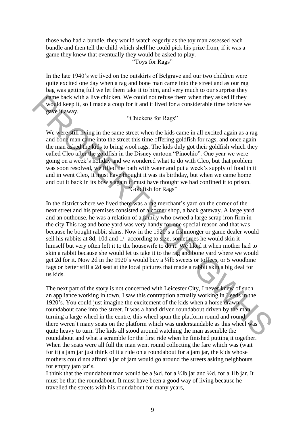those who had a bundle, they would watch eagerly as the toy man assessed each bundle and then tell the child which shelf he could pick his prize from, if it was a game they knew that eventually they would be asked to play.

"Toys for Rags"

In the late 1940's we lived on the outskirts of Belgrave and our two children were quite excited one day when a rag and bone man came into the street and as our rag bag was getting full we let them take it to him, and very much to our surprise they came back with a live chicken. We could not refuse them when they asked if they would keep it, so I made a coup for it and it lived for a considerable time before we gave it away.

"Chickens for Rags"

We were still living in the same street when the kids came in all excited again as a rag and bone man came into the street this time offering goldfish for rags, and once again the man asked the kids to bring wool rags. The kids duly got their goldfish which they called Cleo after the goldfish in the Disney cartoon "Pinochio". One year we were going on a week"s holiday and we wondered what to do with Cleo, but that problem was soon resolved, we filled the bath with water and put a week"s supply of food in it and in went Cleo, It must have thought it was its birthday, but when we came home and out it back in its bowls again it must have thought we had confined it to prison. "Goldfish for Rags"

In the district where we lived there was a rag merchant"s yard on the corner of the next street and his premises consisted of a corner shop, a back gateway. A large yard and an outhouse, he was a relation of a family who owned a large scrap iron firm in the city This rag and bone yard was very handy for one special reason and that was because he bought rabbit skins. Now in the 1920"s a fishmonger or game dealer would sell his rabbits at 8d, 10d and 1/- according to size, sometimes he would skin it himself but very often left it to the housewife to do it. We liked it when mother had to skin a rabbit because she would let us take it to the rag and bone yard where we would get 2d for it. Now 2d in the 1920"s would buy a ¼lb sweets or toffees, or 5 woodbine fags or better still a 2d seat at the local pictures that made a rabbit skin a big deal for us kids. see back with a live chicken. We could not refuse them when they asked if they<br>would keep it, so I made a coup for it and it lived for a considerable time before we<br>we it away.<br>
"Chickens for Rags"<br>
We were still Puing in

The next part of the story is not concerned with Leicester City, I never knew of such an appliance working in town, I saw this contraption actually working in Leeds in the 1920"s. You could just imagine the excitement of the kids when a horse drawn roundabout cane into the street. It was a hand driven roundabout driven by the man turning a large wheel in the centre, this wheel spun the platform round and round, there weren"t many seats on the platform which was understandable as this wheel was quite heavy to turn. The kids all stood around watching the man assemble the roundabout and what a scramble for the first ride when he finished putting it together. When the seats were all full the man went round collecting the fare which was (wait for it) a jam jar just think of it a ride on a roundabout for a jam jar, the kids whose mothers could not afford a jar of jam would go around the streets asking neighbours for empty jam jar's.

I think that the roundabout man would be a  $\frac{1}{4}$ d. for a  $\frac{1}{2}$ lb jar and  $\frac{1}{2}$ d. for a 1lb jar. It must be that the roundabout. It must have been a good way of living because he travelled the streets with his roundabout for many years,